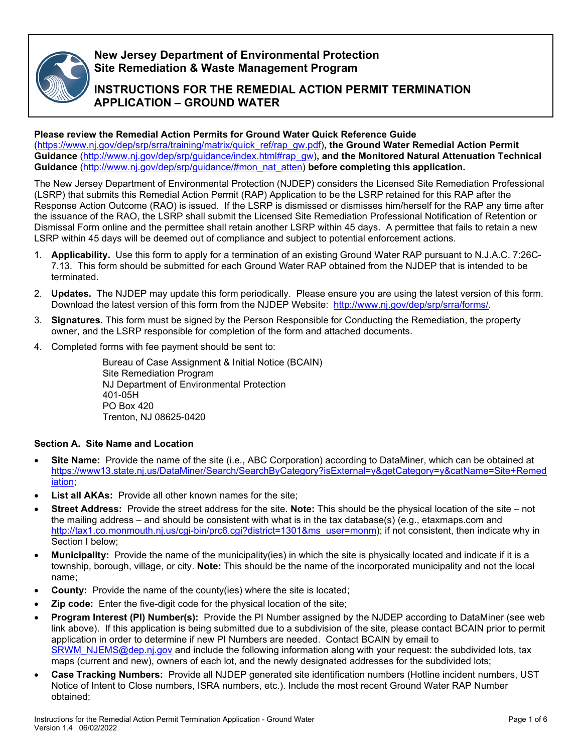

# **New Jersey Department of Environmental Protection Site Remediation & Waste Management Program**

# **INSTRUCTIONS FOR THE REMEDIAL ACTION PERMIT TERMINATION APPLICATION – GROUND WATER**

# **Please review the Remedial Action Permits for Ground Water Quick Reference Guide**

[\(https://www.nj.gov/dep/srp/srra/training/matrix/quick\\_ref/rap\\_gw.pdf\)](https://www.nj.gov/dep/srp/srra/training/matrix/quick_ref/rap_gw.pdf)**, the Ground Water Remedial Action Permit Guidance** [\(http://www.nj.gov/dep/srp/guidance/index.html#rap\\_gw\)](http://www.nj.gov/dep/srp/guidance/index.html#rap_gw)**, and the Monitored Natural Attenuation Technical Guidance** [\(http://www.nj.gov/dep/srp/guidance/#mon\\_nat\\_atten\)](http://www.nj.gov/dep/srp/guidance/#mon_nat_atten) **before completing this application.**

The New Jersey Department of Environmental Protection (NJDEP) considers the Licensed Site Remediation Professional (LSRP) that submits this Remedial Action Permit (RAP) Application to be the LSRP retained for this RAP after the Response Action Outcome (RAO) is issued. If the LSRP is dismissed or dismisses him/herself for the RAP any time after the issuance of the RAO, the LSRP shall submit the Licensed Site Remediation Professional Notification of Retention or Dismissal Form online and the permittee shall retain another LSRP within 45 days. A permittee that fails to retain a new LSRP within 45 days will be deemed out of compliance and subject to potential enforcement actions.

- 1. **Applicability.** Use this form to apply for a termination of an existing Ground Water RAP pursuant to N.J.A.C. 7:26C-7.13. This form should be submitted for each Ground Water RAP obtained from the NJDEP that is intended to be terminated.
- 2. **Updates.** The NJDEP may update this form periodically. Please ensure you are using the latest version of this form. Download the latest version of this form from the NJDEP Website: [http://www.nj.gov/dep/srp/srra/forms/.](http://www.nj.gov/dep/srp/srra/forms/)
- 3. **Signatures.** This form must be signed by the Person Responsible for Conducting the Remediation, the property owner, and the LSRP responsible for completion of the form and attached documents.
- 4. Completed forms with fee payment should be sent to:

Bureau of Case Assignment & Initial Notice (BCAIN) Site Remediation Program NJ Department of Environmental Protection 401-05H PO Box 420 Trenton, NJ 08625-0420

# **Section A. Site Name and Location**

- **Site Name:** Provide the name of the site (i.e., ABC Corporation) according to DataMiner, which can be obtained at [https://www13.state.nj.us/DataMiner/Search/SearchByCategory?isExternal=y&getCategory=y&catName=Site+Remed](https://www13.state.nj.us/DataMiner/Search/SearchByCategory?isExternal=y&getCategory=y&catName=Site+Remediation) [iation;](https://www13.state.nj.us/DataMiner/Search/SearchByCategory?isExternal=y&getCategory=y&catName=Site+Remediation)
- **List all AKAs:** Provide all other known names for the site:
- **Street Address:** Provide the street address for the site. **Note:** This should be the physical location of the site not the mailing address – and should be consistent with what is in the tax database(s) (e.g., etaxmaps.com and [http://tax1.co.monmouth.nj.us/cgi-bin/prc6.cgi?district=1301&ms\\_user=monm\)](http://tax1.co.monmouth.nj.us/cgi-bin/prc6.cgi?district=1301&ms_user=monm); if not consistent, then indicate why in Section I below;
- **Municipality:** Provide the name of the municipality(ies) in which the site is physically located and indicate if it is a township, borough, village, or city. **Note:** This should be the name of the incorporated municipality and not the local name;
- **County:** Provide the name of the county(ies) where the site is located;
- **Zip code:** Enter the five-digit code for the physical location of the site;
- **Program Interest (PI) Number(s):** Provide the PI Number assigned by the NJDEP according to DataMiner (see web link above). If this application is being submitted due to a subdivision of the site, please contact BCAIN prior to permit application in order to determine if new PI Numbers are needed. Contact BCAIN by email to [SRWM\\_NJEMS@dep.nj.gov](mailto:SRWM_NJEMS@dep.nj.gov) and include the following information along with your request: the subdivided lots, tax maps (current and new), owners of each lot, and the newly designated addresses for the subdivided lots;
- **Case Tracking Numbers:** Provide all NJDEP generated site identification numbers (Hotline incident numbers, UST Notice of Intent to Close numbers, ISRA numbers, etc.). Include the most recent Ground Water RAP Number obtained;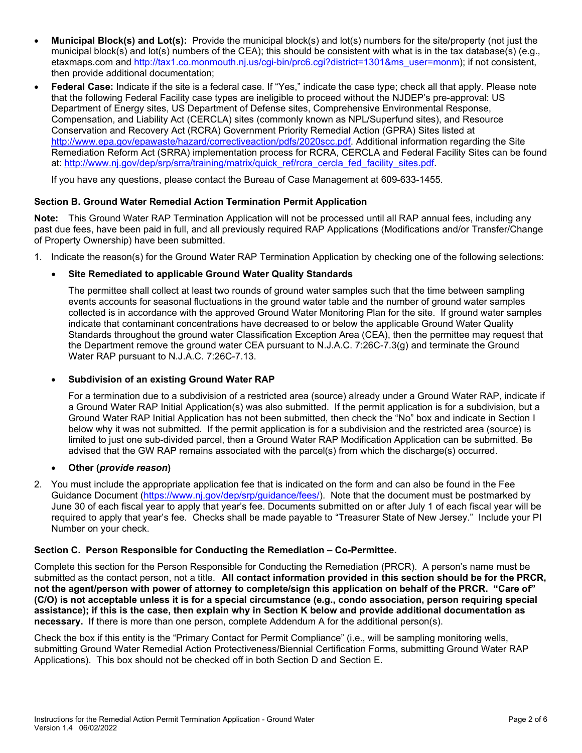- **Municipal Block(s) and Lot(s):** Provide the municipal block(s) and lot(s) numbers for the site/property (not just the municipal block(s) and lot(s) numbers of the CEA); this should be consistent with what is in the tax database(s) (e.g., etaxmaps.com and [http://tax1.co.monmouth.nj.us/cgi-bin/prc6.cgi?district=1301&ms\\_user=monm\)](http://tax1.co.monmouth.nj.us/cgi-bin/prc6.cgi?district=1301&ms_user=monm); if not consistent, then provide additional documentation;
- **Federal Case:** Indicate if the site is a federal case. If "Yes," indicate the case type; check all that apply. Please note that the following Federal Facility case types are ineligible to proceed without the NJDEP's pre-approval: US Department of Energy sites, US Department of Defense sites, Comprehensive Environmental Response, Compensation, and Liability Act (CERCLA) sites (commonly known as NPL/Superfund sites), and Resource Conservation and Recovery Act (RCRA) Government Priority Remedial Action (GPRA) Sites listed at [http://www.epa.gov/epawaste/hazard/correctiveaction/pdfs/2020scc.pdf.](http://www.epa.gov/epawaste/hazard/correctiveaction/pdfs/2020scc.pdf) Additional information regarding the Site Remediation Reform Act (SRRA) implementation process for RCRA, CERCLA and Federal Facility Sites can be found at: [http://www.nj.gov/dep/srp/srra/training/matrix/quick\\_ref/rcra\\_cercla\\_fed\\_facility\\_sites.pdf.](http://www.nj.gov/dep/srp/srra/training/matrix/quick_ref/rcra_cercla_fed_facility_sites.pdf)

If you have any questions, please contact the Bureau of Case Management at 609-633-1455.

# **Section B. Ground Water Remedial Action Termination Permit Application**

**Note:** This Ground Water RAP Termination Application will not be processed until all RAP annual fees, including any past due fees, have been paid in full, and all previously required RAP Applications (Modifications and/or Transfer/Change of Property Ownership) have been submitted.

1. Indicate the reason(s) for the Ground Water RAP Termination Application by checking one of the following selections:

# • **Site Remediated to applicable Ground Water Quality Standards**

The permittee shall collect at least two rounds of ground water samples such that the time between sampling events accounts for seasonal fluctuations in the ground water table and the number of ground water samples collected is in accordance with the approved Ground Water Monitoring Plan for the site. If ground water samples indicate that contaminant concentrations have decreased to or below the applicable Ground Water Quality Standards throughout the ground water Classification Exception Area (CEA), then the permittee may request that the Department remove the ground water CEA pursuant to N.J.A.C. 7:26C-7.3(g) and terminate the Ground Water RAP pursuant to N.J.A.C. 7:26C-7.13.

#### • **Subdivision of an existing Ground Water RAP**

For a termination due to a subdivision of a restricted area (source) already under a Ground Water RAP, indicate if a Ground Water RAP Initial Application(s) was also submitted. If the permit application is for a subdivision, but a Ground Water RAP Initial Application has not been submitted, then check the "No" box and indicate in Section I below why it was not submitted. If the permit application is for a subdivision and the restricted area (source) is limited to just one sub-divided parcel, then a Ground Water RAP Modification Application can be submitted. Be advised that the GW RAP remains associated with the parcel(s) from which the discharge(s) occurred.

#### • **Other (***provide reason***)**

2. You must include the appropriate application fee that is indicated on the form and can also be found in the Fee Guidance Document [\(https://www.nj.gov/dep/srp/guidance/fees/\)](https://www.nj.gov/dep/srp/guidance/fees/). Note that the document must be postmarked by June 30 of each fiscal year to apply that year's fee. Documents submitted on or after July 1 of each fiscal year will be required to apply that year's fee. Checks shall be made payable to "Treasurer State of New Jersey." Include your PI Number on your check.

#### **Section C. Person Responsible for Conducting the Remediation – Co-Permittee.**

Complete this section for the Person Responsible for Conducting the Remediation (PRCR). A person's name must be submitted as the contact person, not a title. **All contact information provided in this section should be for the PRCR, not the agent/person with power of attorney to complete/sign this application on behalf of the PRCR. "Care of" (C/O) is not acceptable unless it is for a special circumstance (e.g., condo association, person requiring special assistance); if this is the case, then explain why in Section K below and provide additional documentation as necessary.** If there is more than one person, complete Addendum A for the additional person(s).

Check the box if this entity is the "Primary Contact for Permit Compliance" (i.e., will be sampling monitoring wells, submitting Ground Water Remedial Action Protectiveness/Biennial Certification Forms, submitting Ground Water RAP Applications). This box should not be checked off in both Section D and Section E.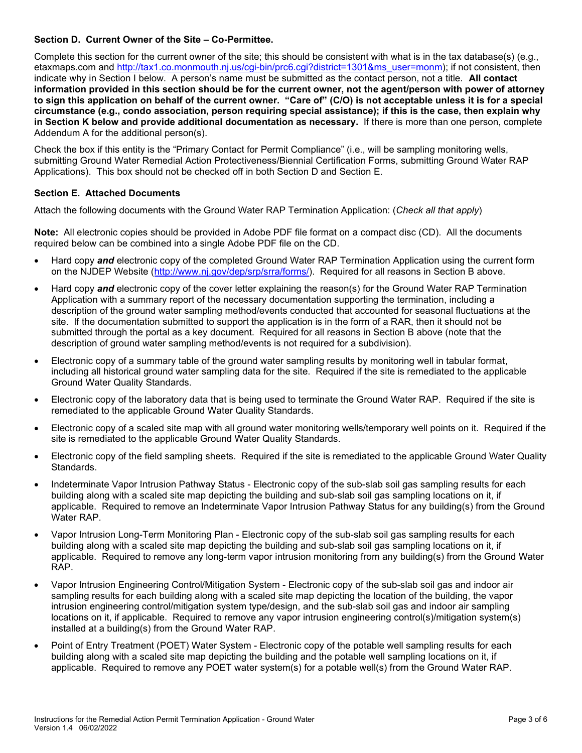# **Section D. Current Owner of the Site – Co-Permittee.**

Complete this section for the current owner of the site; this should be consistent with what is in the tax database(s) (e.g., etaxmaps.com and [http://tax1.co.monmouth.nj.us/cgi-bin/prc6.cgi?district=1301&ms\\_user=monm\)](http://tax1.co.monmouth.nj.us/cgi-bin/prc6.cgi?district=1301&ms_user=monm); if not consistent, then indicate why in Section I below. A person's name must be submitted as the contact person, not a title. **All contact information provided in this section should be for the current owner, not the agent/person with power of attorney to sign this application on behalf of the current owner. "Care of" (C/O) is not acceptable unless it is for a special circumstance (e.g., condo association, person requiring special assistance); if this is the case, then explain why in Section K below and provide additional documentation as necessary.** If there is more than one person, complete Addendum A for the additional person(s).

Check the box if this entity is the "Primary Contact for Permit Compliance" (i.e., will be sampling monitoring wells, submitting Ground Water Remedial Action Protectiveness/Biennial Certification Forms, submitting Ground Water RAP Applications). This box should not be checked off in both Section D and Section E.

# **Section E. Attached Documents**

Attach the following documents with the Ground Water RAP Termination Application: (*Check all that apply*)

**Note:** All electronic copies should be provided in Adobe PDF file format on a compact disc (CD). All the documents required below can be combined into a single Adobe PDF file on the CD.

- Hard copy *and* electronic copy of the completed Ground Water RAP Termination Application using the current form on the NJDEP Website [\(http://www.nj.gov/dep/srp/srra/forms/\)](http://www.nj.gov/dep/srp/srra/forms/). Required for all reasons in Section B above.
- Hard copy *and* electronic copy of the cover letter explaining the reason(s) for the Ground Water RAP Termination Application with a summary report of the necessary documentation supporting the termination, including a description of the ground water sampling method/events conducted that accounted for seasonal fluctuations at the site. If the documentation submitted to support the application is in the form of a RAR, then it should not be submitted through the portal as a key document. Required for all reasons in Section B above (note that the description of ground water sampling method/events is not required for a subdivision).
- Electronic copy of a summary table of the ground water sampling results by monitoring well in tabular format, including all historical ground water sampling data for the site. Required if the site is remediated to the applicable Ground Water Quality Standards.
- Electronic copy of the laboratory data that is being used to terminate the Ground Water RAP. Required if the site is remediated to the applicable Ground Water Quality Standards.
- Electronic copy of a scaled site map with all ground water monitoring wells/temporary well points on it. Required if the site is remediated to the applicable Ground Water Quality Standards.
- Electronic copy of the field sampling sheets. Required if the site is remediated to the applicable Ground Water Quality Standards.
- Indeterminate Vapor Intrusion Pathway Status Electronic copy of the sub-slab soil gas sampling results for each building along with a scaled site map depicting the building and sub-slab soil gas sampling locations on it, if applicable. Required to remove an Indeterminate Vapor Intrusion Pathway Status for any building(s) from the Ground Water RAP.
- Vapor Intrusion Long-Term Monitoring Plan Electronic copy of the sub-slab soil gas sampling results for each building along with a scaled site map depicting the building and sub-slab soil gas sampling locations on it, if applicable. Required to remove any long-term vapor intrusion monitoring from any building(s) from the Ground Water RAP.
- Vapor Intrusion Engineering Control/Mitigation System Electronic copy of the sub-slab soil gas and indoor air sampling results for each building along with a scaled site map depicting the location of the building, the vapor intrusion engineering control/mitigation system type/design, and the sub-slab soil gas and indoor air sampling locations on it, if applicable. Required to remove any vapor intrusion engineering control(s)/mitigation system(s) installed at a building(s) from the Ground Water RAP.
- Point of Entry Treatment (POET) Water System Electronic copy of the potable well sampling results for each building along with a scaled site map depicting the building and the potable well sampling locations on it, if applicable. Required to remove any POET water system(s) for a potable well(s) from the Ground Water RAP.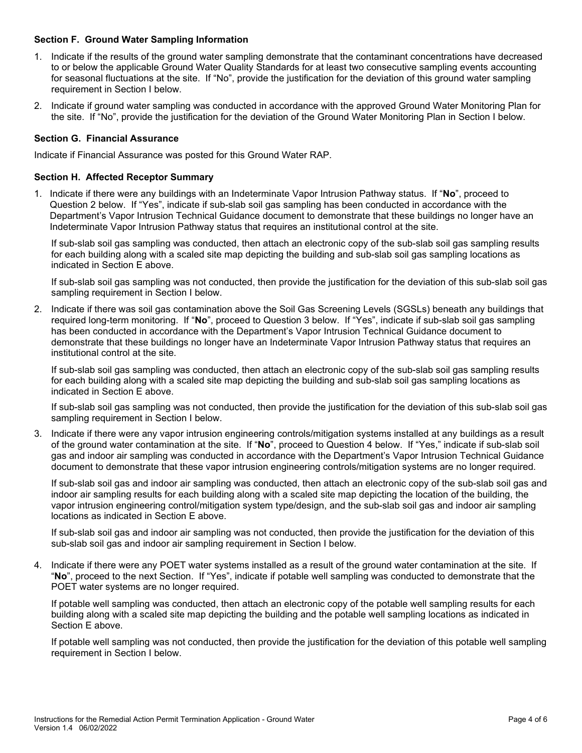#### **Section F. Ground Water Sampling Information**

- 1. Indicate if the results of the ground water sampling demonstrate that the contaminant concentrations have decreased to or below the applicable Ground Water Quality Standards for at least two consecutive sampling events accounting for seasonal fluctuations at the site. If "No", provide the justification for the deviation of this ground water sampling requirement in Section I below.
- 2. Indicate if ground water sampling was conducted in accordance with the approved Ground Water Monitoring Plan for the site. If "No", provide the justification for the deviation of the Ground Water Monitoring Plan in Section I below.

#### **Section G. Financial Assurance**

Indicate if Financial Assurance was posted for this Ground Water RAP.

#### **Section H. Affected Receptor Summary**

1. Indicate if there were any buildings with an Indeterminate Vapor Intrusion Pathway status. If "**No**", proceed to Question 2 below. If "Yes", indicate if sub-slab soil gas sampling has been conducted in accordance with the Department's Vapor Intrusion Technical Guidance document to demonstrate that these buildings no longer have an Indeterminate Vapor Intrusion Pathway status that requires an institutional control at the site.

If sub-slab soil gas sampling was conducted, then attach an electronic copy of the sub-slab soil gas sampling results for each building along with a scaled site map depicting the building and sub-slab soil gas sampling locations as indicated in Section E above.

If sub-slab soil gas sampling was not conducted, then provide the justification for the deviation of this sub-slab soil gas sampling requirement in Section I below.

2. Indicate if there was soil gas contamination above the Soil Gas Screening Levels (SGSLs) beneath any buildings that required long-term monitoring. If "**No**", proceed to Question 3 below. If "Yes", indicate if sub-slab soil gas sampling has been conducted in accordance with the Department's Vapor Intrusion Technical Guidance document to demonstrate that these buildings no longer have an Indeterminate Vapor Intrusion Pathway status that requires an institutional control at the site.

If sub-slab soil gas sampling was conducted, then attach an electronic copy of the sub-slab soil gas sampling results for each building along with a scaled site map depicting the building and sub-slab soil gas sampling locations as indicated in Section E above.

If sub-slab soil gas sampling was not conducted, then provide the justification for the deviation of this sub-slab soil gas sampling requirement in Section I below.

3. Indicate if there were any vapor intrusion engineering controls/mitigation systems installed at any buildings as a result of the ground water contamination at the site. If "**No**", proceed to Question 4 below. If "Yes," indicate if sub-slab soil gas and indoor air sampling was conducted in accordance with the Department's Vapor Intrusion Technical Guidance document to demonstrate that these vapor intrusion engineering controls/mitigation systems are no longer required.

If sub-slab soil gas and indoor air sampling was conducted, then attach an electronic copy of the sub-slab soil gas and indoor air sampling results for each building along with a scaled site map depicting the location of the building, the vapor intrusion engineering control/mitigation system type/design, and the sub-slab soil gas and indoor air sampling locations as indicated in Section E above.

If sub-slab soil gas and indoor air sampling was not conducted, then provide the justification for the deviation of this sub-slab soil gas and indoor air sampling requirement in Section I below.

4. Indicate if there were any POET water systems installed as a result of the ground water contamination at the site. If "**No**", proceed to the next Section. If "Yes", indicate if potable well sampling was conducted to demonstrate that the POET water systems are no longer required.

If potable well sampling was conducted, then attach an electronic copy of the potable well sampling results for each building along with a scaled site map depicting the building and the potable well sampling locations as indicated in Section E above.

If potable well sampling was not conducted, then provide the justification for the deviation of this potable well sampling requirement in Section I below.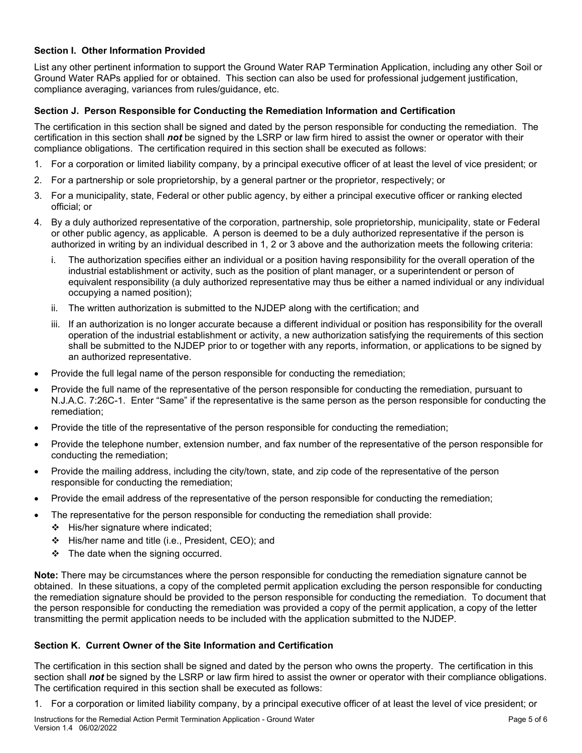## **Section I. Other Information Provided**

List any other pertinent information to support the Ground Water RAP Termination Application, including any other Soil or Ground Water RAPs applied for or obtained. This section can also be used for professional judgement justification, compliance averaging, variances from rules/guidance, etc.

#### **Section J. Person Responsible for Conducting the Remediation Information and Certification**

The certification in this section shall be signed and dated by the person responsible for conducting the remediation. The certification in this section shall *not* be signed by the LSRP or law firm hired to assist the owner or operator with their compliance obligations. The certification required in this section shall be executed as follows:

- 1. For a corporation or limited liability company, by a principal executive officer of at least the level of vice president; or
- 2. For a partnership or sole proprietorship, by a general partner or the proprietor, respectively; or
- 3. For a municipality, state, Federal or other public agency, by either a principal executive officer or ranking elected official; or
- 4. By a duly authorized representative of the corporation, partnership, sole proprietorship, municipality, state or Federal or other public agency, as applicable. A person is deemed to be a duly authorized representative if the person is authorized in writing by an individual described in 1, 2 or 3 above and the authorization meets the following criteria:
	- i. The authorization specifies either an individual or a position having responsibility for the overall operation of the industrial establishment or activity, such as the position of plant manager, or a superintendent or person of equivalent responsibility (a duly authorized representative may thus be either a named individual or any individual occupying a named position);
	- ii. The written authorization is submitted to the NJDEP along with the certification; and
	- iii. If an authorization is no longer accurate because a different individual or position has responsibility for the overall operation of the industrial establishment or activity, a new authorization satisfying the requirements of this section shall be submitted to the NJDEP prior to or together with any reports, information, or applications to be signed by an authorized representative.
- Provide the full legal name of the person responsible for conducting the remediation;
- Provide the full name of the representative of the person responsible for conducting the remediation, pursuant to N.J.A.C. 7:26C-1. Enter "Same" if the representative is the same person as the person responsible for conducting the remediation;
- Provide the title of the representative of the person responsible for conducting the remediation;
- Provide the telephone number, extension number, and fax number of the representative of the person responsible for conducting the remediation;
- Provide the mailing address, including the city/town, state, and zip code of the representative of the person responsible for conducting the remediation;
- Provide the email address of the representative of the person responsible for conducting the remediation;
- The representative for the person responsible for conducting the remediation shall provide:
	- $\div$  His/her signature where indicated;
	- His/her name and title (i.e., President, CEO); and
	- $\div$  The date when the signing occurred.

**Note:** There may be circumstances where the person responsible for conducting the remediation signature cannot be obtained. In these situations, a copy of the completed permit application excluding the person responsible for conducting the remediation signature should be provided to the person responsible for conducting the remediation. To document that the person responsible for conducting the remediation was provided a copy of the permit application, a copy of the letter transmitting the permit application needs to be included with the application submitted to the NJDEP.

# **Section K. Current Owner of the Site Information and Certification**

The certification in this section shall be signed and dated by the person who owns the property. The certification in this section shall *not* be signed by the LSRP or law firm hired to assist the owner or operator with their compliance obligations. The certification required in this section shall be executed as follows:

1. For a corporation or limited liability company, by a principal executive officer of at least the level of vice president; or